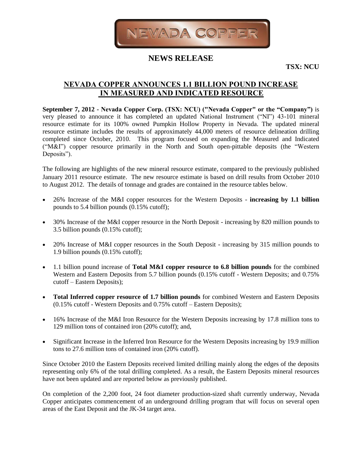

# **NEWS RELEASE**

**TSX: NCU**

# **NEVADA COPPER ANNOUNCES 1.1 BILLION POUND INCREASE IN MEASURED AND INDICATED RESOURCE**

**September 7, 2012 - Nevada Copper Corp. (TSX: NCU) ("Nevada Copper" or the "Company")** is very pleased to announce it has completed an updated National Instrument ("NI") 43-101 mineral resource estimate for its 100% owned Pumpkin Hollow Property in Nevada. The updated mineral resource estimate includes the results of approximately 44,000 meters of resource delineation drilling completed since October, 2010. This program focused on expanding the Measured and Indicated ("M&I") copper resource primarily in the North and South open-pittable deposits (the "Western Deposits").

The following are highlights of the new mineral resource estimate, compared to the previously published January 2011 resource estimate. The new resource estimate is based on drill results from October 2010 to August 2012. The details of tonnage and grades are contained in the resource tables below.

- 26% Increase of the M&I copper resources for the Western Deposits **increasing by 1.1 billion**  pounds to 5.4 billion pounds (0.15% cutoff);
- 30% Increase of the M&I copper resource in the North Deposit increasing by 820 million pounds to 3.5 billion pounds (0.15% cutoff);
- 20% Increase of M&I copper resources in the South Deposit increasing by 315 million pounds to 1.9 billion pounds (0.15% cutoff);
- 1.1 billion pound increase of **Total M&I copper resource to 6.8 billion pounds** for the combined Western and Eastern Deposits from 5.7 billion pounds (0.15% cutoff - Western Deposits; and 0.75% cutoff – Eastern Deposits);
- **Total Inferred copper resource of 1.7 billion pounds** for combined Western and Eastern Deposits (0.15% cutoff - Western Deposits and 0.75% cutoff – Eastern Deposits);
- 16% Increase of the M&I Iron Resource for the Western Deposits increasing by 17.8 million tons to 129 million tons of contained iron (20% cutoff); and,
- Significant Increase in the Inferred Iron Resource for the Western Deposits increasing by 19.9 million tons to 27.6 million tons of contained iron (20% cutoff).

Since October 2010 the Eastern Deposits received limited drilling mainly along the edges of the deposits representing only 6% of the total drilling completed. As a result, the Eastern Deposits mineral resources have not been updated and are reported below as previously published.

On completion of the 2,200 foot, 24 foot diameter production-sized shaft currently underway, Nevada Copper anticipates commencement of an underground drilling program that will focus on several open areas of the East Deposit and the JK-34 target area.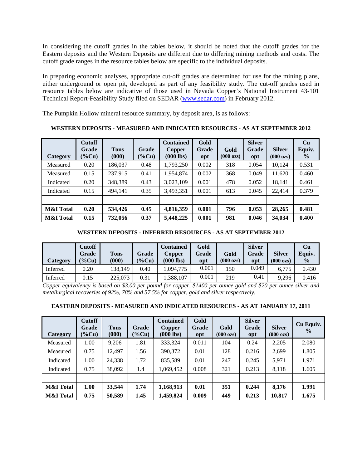In considering the cutoff grades in the tables below, it should be noted that the cutoff grades for the Eastern deposits and the Western Deposits are different due to differing mining methods and costs. The cutoff grade ranges in the resource tables below are specific to the individual deposits.

In preparing economic analyses, appropriate cut-off grades are determined for use for the mining plans, either underground or open pit, developed as part of any feasibility study. The cut-off grades used in resource tables below are indicative of those used in Nevada Copper's National Instrument 43-101 Technical Report-Feasibility Study filed on SEDAR [\(www.sedar.com\)](http://www.sedar.com/) in February 2012.

The Pumpkin Hollow mineral resource summary, by deposit area, is as follows:

**Category Cutoff Grade (%Cu) Tons (000) Grade (%Cu) Contained Copper (000 lbs) Gold Grade opt Gold (000 ozs) Silver Grade opt Silver (000 ozs) Cu Equiv. %** Measured | 0.20 | 186,037 | 0.48 | 1,793,250 | 0.002 | 318 | 0.054 | 10,124 | 0.531 Measured | 0.15 | 237,915 | 0.41 | 1,954,874 | 0.002 | 368 | 0.049 | 11,620 | 0.460 Indicated 0.20 348,389 0.43 3,023,109 0.001 478 0.052 18,141 0.461 Indicated | 0.15 | 494,141 | 0.35 | 3,493,351 | 0.001 | 613 | 0.045 | 22,414 | 0.379 **M&I Total 0.20 534,426 0.45 4,816,359 0.001 796 0.053 28,265 0.481 M&I Total 0.15 732,056 0.37 5,448,225 0.001 981 0.046 34,034 0.400**

**WESTERN DEPOSITS - MEASURED AND INDICATED RESOURCES - AS AT SEPTEMBER 2012**

# **WESTERN DEPOSITS - INFERRED RESOURCES - AS AT SEPTEMBER 2012**

| Category | <b>Cutoff</b><br>Grade<br>$\left(\frac{9}{6}Cu\right)$ | <b>Tons</b><br>(000) | Grade<br>$(\% Cu)$ | <b>Contained</b><br>Copper<br>$(000$ lbs) | Gold<br>Grade<br>opt | Gold<br>$(000 \text{ ozs})$ | <b>Silver</b><br><b>Grade</b><br>opt | <b>Silver</b><br>$(000 \text{ ozs})$ | Cu<br>Equiv.<br>$\frac{0}{0}$ |
|----------|--------------------------------------------------------|----------------------|--------------------|-------------------------------------------|----------------------|-----------------------------|--------------------------------------|--------------------------------------|-------------------------------|
| Inferred | 0.20                                                   | 138.149              | 0.40               | .094.775                                  | 0.001                | 150                         | 0.049                                | 6,775                                | 0.430                         |
| Inferred | 0.15                                                   | 225,073              | 0.31               | 1,388,107                                 | 0.001                | 219                         | 0.41                                 | 9,296                                | 0.416                         |

*Copper equivalency is based on \$3.00 per pound for copper, \$1400 per ounce gold and \$20 per ounce silver and metallurgical recoveries of 92%, 78% and 57.5% for copper, gold and silver respectively.*

#### **EASTERN DEPOSITS - MEASURED AND INDICATED RESOURCES - AS AT JANUARY 17, 2011**

| Category             | <b>Cutoff</b><br>Grade<br>$\left(\% \text{Cu}\right)$ | <b>Tons</b><br>(000) | Grade<br>$(\%$ Cu) | <b>Contained</b><br><b>Copper</b><br>$(000$ lbs) | Gold<br>Grade<br>opt | Gold<br>$(000 \text{ ozs})$ | <b>Silver</b><br>Grade<br>opt | <b>Silver</b><br>$(000 \text{ ozs})$ | Cu Equiv.<br>$\frac{0}{0}$ |
|----------------------|-------------------------------------------------------|----------------------|--------------------|--------------------------------------------------|----------------------|-----------------------------|-------------------------------|--------------------------------------|----------------------------|
| Measured             | 1.00                                                  | 9,206                | 1.81               | 333,324                                          | 0.011                | 104                         | 0.24                          | 2,205                                | 2.080                      |
| Measured             | 0.75                                                  | 12.497               | 1.56               | 390,372                                          | 0.01                 | 128                         | 0.216                         | 2,699                                | 1.805                      |
| Indicated            | 1.00                                                  | 24,338               | 1.72               | 835,589                                          | 0.01                 | 247                         | 0.245                         | 5,971                                | 1.971                      |
| Indicated            | 0.75                                                  | 38,092               | 1.4                | 1,069,452                                        | 0.008                | 321                         | 0.213                         | 8,118                                | 1.605                      |
|                      |                                                       |                      |                    |                                                  |                      |                             |                               |                                      |                            |
| <b>M&amp;I</b> Total | 1.00                                                  | 33,544               | 1.74               | 1,168,913                                        | 0.01                 | 351                         | 0.244                         | 8,176                                | 1.991                      |
| <b>M&amp;I</b> Total | 0.75                                                  | 50,589               | 1.45               | 1,459,824                                        | 0.009                | 449                         | 0.213                         | 10,817                               | 1.675                      |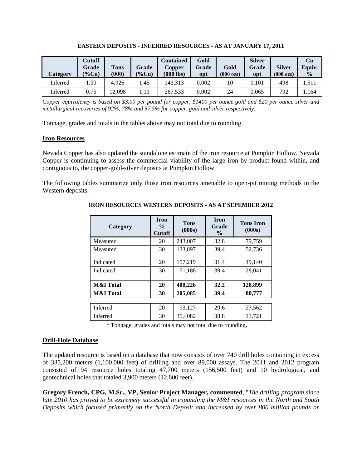| Category | <b>Cutoff</b><br>Grade<br>$\left(\% \text{Cu}\right)$ | <b>Tons</b><br>(000) | Grade<br>$(\% Cu)$ | <b>Contained</b><br>Copper<br>$(000$ lbs) | Gold<br><b>Grade</b><br>opt | Gold<br>$(000 \text{ ozs})$ | <b>Silver</b><br>Grade<br>opt | <b>Silver</b><br>$(000 \text{ ozs})$ | Cu<br>Equiv.<br>$\frac{0}{0}$ |
|----------|-------------------------------------------------------|----------------------|--------------------|-------------------------------------------|-----------------------------|-----------------------------|-------------------------------|--------------------------------------|-------------------------------|
| Inferred | .00.                                                  | 4.926                | l.45               | 143.313                                   | 0.002                       | 10                          | 0.101                         | 498                                  | .511                          |
| Inferred | 0.75                                                  | 2.098                | 1.11               | 267.533                                   | 0.002                       | 24                          | 0.065                         | 792                                  | . 164                         |

**EASTERN DEPOSITS - INFERRED RESOURCES - AS AT JANUARY 17, 2011**

*Copper equivalency is based on \$3.00 per pound for copper, \$1400 per ounce gold and \$20 per ounce silver and metallurgical recoveries of 92%, 78% and 57.5% for copper, gold and silver respectively.*

Tonnage, grades and totals in the tables above may not total due to rounding.

# **Iron Resources**

Nevada Copper has also updated the standalone estimate of the iron resource at Pumpkin Hollow. Nevada Copper is continuing to assess the commercial viability of the large iron by-product found within, and contiguous to, the copper-gold-silver deposits at Pumpkin Hollow.

The following tables summarize only those iron resources amenable to open-pit mining methods in the Western deposits:

| Category             | <b>Iron</b><br>$\frac{0}{0}$<br><b>Cutoff</b> | <b>Tons</b><br>(000s) | <b>Iron</b><br>Grade<br>$\frac{0}{0}$ | <b>Tons Iron</b><br>(000s) |  |
|----------------------|-----------------------------------------------|-----------------------|---------------------------------------|----------------------------|--|
| Measured             | 20                                            | 243,007               | 32.8                                  | 79,759                     |  |
| Measured             | 30                                            | 133,897<br>39.4       |                                       | 52,736                     |  |
|                      |                                               |                       |                                       |                            |  |
| Indicated            | 20                                            | 157,219               | 31.4                                  | 49,140                     |  |
| Indicated            | 30                                            | 71,188                | 39.4                                  | 28,041                     |  |
|                      |                                               |                       |                                       |                            |  |
| <b>M&amp;I</b> Total | 20                                            | 400,226               | 32.2                                  | 128,899                    |  |
| <b>M&amp;I</b> Total | 30                                            | 205,085               | 39.4                                  | 80,777                     |  |
|                      |                                               |                       |                                       |                            |  |
| Inferred             | 20                                            | 93,127                | 29.6                                  | 27,562                     |  |
| Inferred             | 30                                            | 35,4082               | 38.8                                  | 13.721                     |  |

**IRON RESOURCES WESTERN DEPOSITS - AS AT SEPEMBER 2012**

\* Tonnage, grades and totals may not total due to rounding.

# **Drill-Hole Database**

The updated resource is based on a database that now consists of over 740 drill holes containing in excess of 335,200 meters (1,100,000 feet) of drilling and over 89,000 assays. The 2011 and 2012 program consisted of 94 resource holes totaling 47,700 meters (156,500 feet) and 10 hydrological, and geotechnical holes that totaled 3,900 meters (12,800 feet).

**Gregory French, CPG, M.Sc., VP, Senior Project Manager, commented**, "*The drilling program since late 2010 has proved to be extremely successful in expanding the M&I resources in the North and South Deposits which focused primarily on the North Deposit and increased by over 800 million pounds or*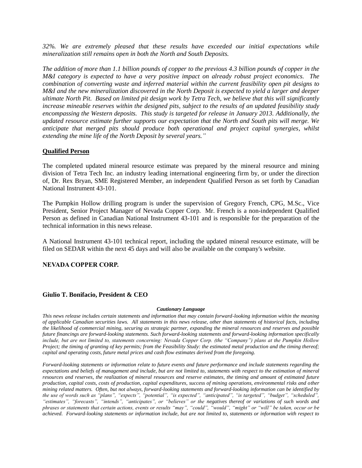*32%. We are extremely pleased that these results have exceeded our initial expectations while mineralization still remains open in both the North and South Deposits.* 

*The addition of more than 1.1 billion pounds of copper to the previous 4.3 billion pounds of copper in the M&I category is expected to have a very positive impact on already robust project economics. The combination of converting waste and inferred material within the current feasibility open pit designs to M&I and the new mineralization discovered in the North Deposit is expected to yield a larger and deeper ultimate North Pit. Based on limited pit design work by Tetra Tech, we believe that this will significantly increase mineable reserves within the designed pits, subject to the results of an updated feasibility study encompassing the Western deposits. This study is targeted for release in January 2013. Additionally, the updated resource estimate further supports our expectation that the North and South pits will merge. We anticipate that merged pits should produce both operational and project capital synergies, whilst extending the mine life of the North Deposit by several years."*

### **Qualified Person**

The completed updated mineral resource estimate was prepared by the mineral resource and mining division of Tetra Tech Inc. an industry leading international engineering firm by, or under the direction of, Dr. Rex Bryan, SME Registered Member, an independent Qualified Person as set forth by Canadian National Instrument 43-101.

The Pumpkin Hollow drilling program is under the supervision of Gregory French, CPG, M.Sc., Vice President, Senior Project Manager of Nevada Copper Corp. Mr. French is a non-independent Qualified Person as defined in Canadian National Instrument 43-101 and is responsible for the preparation of the technical information in this news release.

A National Instrument 43-101 technical report, including the updated mineral resource estimate, will be filed on SEDAR within the next 45 days and will also be available on the company's website.

#### **NEVADA COPPER CORP.**

#### **Giulio T. Bonifacio, President & CEO**

#### *Cautionary Language*

*This news release includes certain statements and information that may contain forward-looking information within the meaning of applicable Canadian securities laws. All statements in this news release, other than statements of historical facts, including the likelihood of commercial mining, securing as strategic partner, expanding the mineral resources and reserves and possible future financings are forward-looking statements. Such forward-looking statements and forward-looking information specifically include, but are not limited to, statements concerning: Nevada Copper Corp. (the "Company") plans at the Pumpkin Hollow Project; the timing of granting of key permits; from the Feasibility Study: the estimated metal production and the timing thereof; capital and operating costs, future metal prices and cash flow estimates derived from the foregoing.* 

*Forward-looking statements or information relate to future events and future performance and include statements regarding the expectations and beliefs of management and include, but are not limited to, statements with respect to the estimation of mineral resources and reserves, the realization of mineral resources and reserve estimates, the timing and amount of estimated future production, capital costs, costs of production, capital expenditures, success of mining operations, environmental risks and other mining related matters. Often, but not always, forward-looking statements and forward-looking information can be identified by the use of words such as "plans", "expects", "potential", "is expected", "anticipated", "is targeted", "budget", "scheduled", "estimates", "forecasts", "intends", "anticipates", or "believes" or the negatives thereof or variations of such words and phrases or statements that certain actions, events or results "may", "could", "would", "might" or "will" be taken, occur or be achieved. Forward-looking statements or information include, but are not limited to, statements or information with respect to*